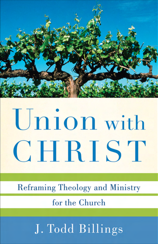

# **Union** with CHRIST

**Reframing Theology and Ministry** 

for the Church

J. Todd Billings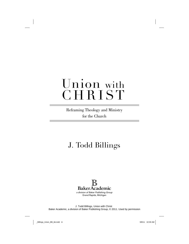## Union with **CHRIST**

Reframing Theology and Ministry for the Church

## J. Todd Billings



 J. Todd Billings, Union with Christ Baker Academic, a division of Baker Publishing Group, © 2011. Used by permission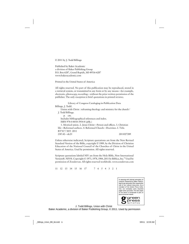© 2011 by J. Todd Billings

Published by Baker Academic a division of Baker Publishing Group P.O. Box 6287, Grand Rapids, MI 49516-6287 www.bakeracademic.com

Printed in the United States of America

All rights reserved. No part of this publication may be reproduced, stored in a retrieval system, or transmitted in any form or by any means—for example, electronic, photocopy, recording—without the prior written permission of the publisher. The only exception is brief quotations in printed reviews.

Library of Congress Cataloging-in-Publication Data Billings, J. Todd. Union with Christ : reframing theology and ministry for the church / J. Todd Billings. p. cm. Includes bibliographical references and index. ISBN 978-0-8010-3934-8 (pbk.) 1. Mystical union. 2. Jesus Christ—Person and offices. 3. Christian life—Reformed authors. 4. Reformed Church—Doctrines. I. Title. BT767.7.B55 2011 230  $\angle 42$  -dc23 2011027289

Unless otherwise indicated, Scripture quotations are from the New Revised Standard Version of the Bible, copyright © 1989, by the Division of Christian Education of the National Council of the Churches of Christ in the United States of America. Used by permission. All rights reserved.

Scripture quotations labeled NIV are from the Holy Bible, New International Version®. NIV®. Copyright © 1973, 1978, 1984, 2011 by Biblica, Inc.™ Used by permission of Zondervan. All rights reserved worldwide. www.zondervan.com

11 12 13 14 15 16 17 7 6 5 4 3 2 1

In keeping with biblical principles of creation stewardship, Baker Publishing Group advocates the responsible use of our natural resources. As a member of the Green Press Initiative, our company uses recycled paper when possible. The text paper of this book is composed in part of post-consumer waste.



 J. Todd Billings, Union with Christ Baker Academic, a division of Baker Publishing Group, © 2011. Used by permission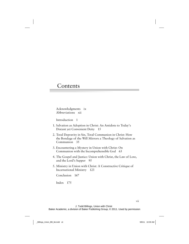### Contents

 Acknowledgments ix Abbreviations xii

Introduction 1

- 1. Salvation as Adoption in Christ: An Antidote to Today's Distant yet Convenient Deity 15
- 2. Total Depravity in Sin, Total Communion in Christ: How the Bondage of the Will Mirrors a Theology of Salvation as Communion 35
- 3. Encountering a Mystery in Union with Christ: On Communion with the Incomprehensible God 63
- 4. The Gospel and Justice: Union with Christ, the Law of Love, and the Lord's Supper 95
- 5. Ministry in Union with Christ: A Constructive Critique of Incarnational Ministry 123

Conclusion 167

Index 175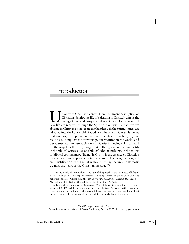### Introduction

I mion with Christ is a central New Testament description of Christian identity, the life of salvation in Christ. It entails the giving of a new identity such that in Christ, forgiveness and new life are received through t Christian identity, the life of salvation in Christ. It entails the giving of a new identity such that in Christ, forgiveness and new life are received through the Spirit. Union with Christ involves abiding in Christ the Vine. It means that through the Spirit, sinners are adopted into the household of God as co-heirs with Christ. It means that God's Spirit is poured out to make the life and teaching of Jesus real to us. It implicates our worship, our vocation in the world, and our witness as the church. Union with Christ is theological shorthand for the gospel itself—a key image that pulls together numerous motifs in the biblical witness.<sup>1</sup> As one biblical scholar exclaims, in the course of biblical commentary, "Being 'in Christ' is the essence of Christian proclamation and experience. One may discuss legalism, nomism, and even justification by faith, but without treating the 'in Christ' motif we miss the heart of the Christian message."2

1. In the words of John Calvin, "the sum of the gospel" is the "newness of life and free reconciliation—[which] are conferred on us by Christ," in union with Christ as believers "possess" Christ by faith. *Institutes of the Christian Religion*, *1559*, ed. J. T. McNeill and F. L. Battles (Philadelphia: Westminster, 1967), 3.3.1.

2. Richard N. Longenecker, *Galatians*, Word Biblical Commentary 41 (Dallas: Word, 2002), 159. While I would prefer not to use the term "essence" as this quotation does, Longenecker and many other recent biblical scholars have been emphatic about the significance of the notion of union with Christ in the New Testament.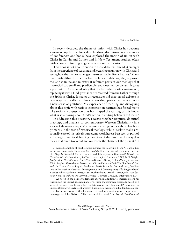In recent decades, the theme of union with Christ has become known in popular theological circles through controversies: a number of conferences and books have explored the notion of union with Christ in Calvin and Luther and in New Testament studies, often with a concern for ongoing debates about justification.<sup>3</sup>

This book is not a contribution to those debates. Instead, it emerges from the experience of teaching and lecturing on union with Christ and seeing how the theme challenges, nurtures, and enlivens hearers.<sup>4</sup> Many have testified that this doctrine has revolutionized the way they approach the Christian life and ministry. It reframes parts of our theology that make God too small and predictable, too close, or too distant. It gives a portrait of Christian identity that displaces the ever-fascinating self, replacing it with a God-given identity received from the Father through the Spirit in Christ. It makes us reconsider old theological debates in new ways, and calls us to lives of worship, justice, and service with a new sense of gratitude. My experience of teaching and dialoguing about this topic with various conversation partners has forced me to take seriously a question that has shaped the writing of this book: what is so amazing about God's action in uniting believers to Christ?

In addressing this question, I weave together scripture, doctrinal theology, and analysis of contemporary Western Christianity in a series of thematic essays. My previous writing on the subject has been primarily in the area of historical theology. While I seek to make a responsible use of historical sources, my work here is best seen as part of a theology of retrieval: hearing the voices of the past in such a way that they are allowed to exceed and overcome the chatter of the present.<sup>5</sup> In

3. A small sampling of this literature includes the following: Mark A. Garcia, *Life in Christ: Union with Christ and the Twofold Grace in Calvin's Theology* (Eugene, OR: Wipf & Stock, 2008); Carl Braaten and Robert Jenson, *Union with Christ: The New Finnish Interpretation of Luther* (Grand Rapids: Eerdmans, 1998); N. T. Wright, *Justification: God's Plan and Paul's Vision* (Downers Grove, IL: InterVarsity Academic, 2009); Stephen Westerholm, *Perspectives Old and New on Paul: The "Lutheran" Paul and His Critics* (Grand Rapids: Eerdmans, 2004); Bruce McCormack, ed., *Justification in Perspective: Historical Developments and Contemporary Challenges* (Grand Rapids: Baker Academic, 2006); Mark Husbands and Daniel J. Treier, eds., *Justification: What's at Stake in the Current Debates* (Downers Grove, IL: InterVarsity, 2004).

4. As noted in the acknowledgments above, in addition to emerging from my teaching on the subject at a seminary level, these chapters were originally based on a series of lectures given through the Templeton Award for Theological Promise and the Eugene Osterhaven Lectures at Western Theological Seminary in Holland, Michigan.

5. For an overview of theologies of retrieval as a contemporary approach to theology, see John Webster, "Theologies of Retrieval," in *Oxford Handbook of*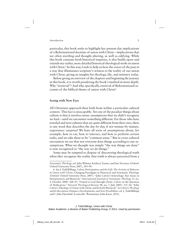particular, this book seeks to highlight key present-day implications of a Reformational doctrine of union with Christ—implications that are often startling and thought-altering, as well as edifying. While this book contains fresh historical inquiries, it also builds upon and extends my earlier, more detailed historical-theological work on union with Christ.<sup>6</sup> In this way, I seek to help us hear the voices of the past in a way that illuminates scripture's witness to the reality of our union with Christ, giving us insights for theology, life, and ministry today.

Before giving an overview of the chapters and beginning the journey in this book, it is worth pondering the book's method in more depth. Why "retrieval"? And why, specifically, retrieval of Reformational accounts of the biblical theme of union with Christ?

#### **Seeing with New Eyes**

All Christians approach their faith from within a particular cultural context. This fact is inescapable. Yet one of the peculiar things about culture is that it involves many assumptions that we didn't recognize we had—until we encounter something different. For those who have traveled and seen cultures that are quite different from their own, there is one word that describes the day-by-day, if not minute-by-minute, experience: surprise! We have all sorts of assumptions about, for example, how to eat, how to interact, and how to perform certain tasks, and we take these to be "common sense." But in cross-cultural encounters we see that not everyone does things according to our assumptions. What we thought was simply "the way things are done" is now recognized as "the way *we* do things."

Some may be tempted to despair of discovering theological truth when they recognize the reality that truth is always perceived from a

*Systematic Theology*, ed. John Webster, Kathryn Tanner, and Iain Torrance (Oxford: Oxford University Press, 2007), 583–99.

<sup>6.</sup> See J. Todd Billings, *Calvin, Participation, and the Gift: The Activity of Believers in Union with Christ*, Changing Paradigms in Historical and Systematic Theology (Oxford: Oxford University Press, 2007); "John Calvin's Soteriology: Key Issues in Interpretation and Retrieval," *International Journal of Systematic Theology* 11, no. 4 (October 2009): 428–47; "United to God through Christ: Calvin on the Question of Deification," *Harvard Theological Review* 98, no. 3 (July 2005): 315–34; "John Calvin's Theology of Union with Christ, and Its Early Retrieval," in *Calvin's Theology and Its Reception: Disputes, Developments, and New Possibilities*, ed. J. Todd Billings and I. John Hesselink (Louisville: Westminster John Knox, 2012).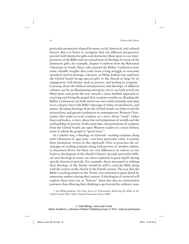particular perspective shaped by many social, historical, and cultural factors. But it is better to recognize that our different perspectives provide both distinctive gifts and distinctive blind spots in our interpretation of the Bible and our articulation of theology. In terms of the distinctive gifts, for example, chapter 4 explores how the Reformed Christians in South Africa who penned the Belhar Confession have some valuable insights that come from a long struggle to overcome apartheid and its heritage. Likewise, as Philip Jenkins has explored, the Global South brings special gifts to the church at large by its engagement with themes such as poverty and healing in scripture.<sup>7</sup> Learning about the biblical interpretation and theology of different cultures can be an illuminating enterprise, for it can both reveal our blind spots and point the way toward a more faithful approach to receiving and living the gospel that scripture testifies to. Reading the Belhar Confession can both unveil our own sinful attitudes and open us in a deeper way to the Bible's message of unity, reconciliation, and justice. Reading theology from the Global South can help reveal the materialistic and gnostic tendencies in contemporary Western Christianity that make us read scripture as a story about "souls" rather than real bodies, a story about the real temptation of wealth and the real hardship of poverty. At the same time, interpretations of scripture from the Global South can open Western readers to a more holistic sense in which the gospel is "good news."

In a similar way, a theology of retrieval—reading scripture along with Christians of ages past—can have particular value. Consider three prominent virtues to this approach: First, it possesses the advantages of reading scripture along with persons of another culture, as discussed above, for there are vast differences in culture as one looks to theologians in the church's history. Second, particular biblical and theological issues are often explored in great depth during specific historical periods. For example, those interested in refining their theology of the Trinity would do well to read the Bible along with the writers in the church of the fourth century. The way that the Bible's teaching relates to the Trinity was explored in great detail by numerous authors during that century. A theologian of retrieval will explore these texts not as "history" alone but also as conversation partners, thus allowing their thinking to go beyond the ordinary ways

7. See Philip Jenkins, *The New Faces of Christianity: Believing the Bible in the Global South* (New York: Oxford University Press, 2006).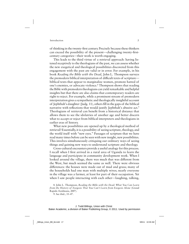of thinking in the twenty-first century. Precisely because these thinkers can exceed the possibility of the present—challenging twenty-firstcentury categories—their work is worth engaging.

This leads to the third virtue of a retrieval approach: having listened receptively to the theologians of the past, we can assess whether the new exegetical and theological possibilities discovered from this engagement with the past are valid or in error. For example, in his book *Reading the Bible with the Dead*, John L. Thompson surveys the premodern biblical interpretation of difficult texts of scripture biblical texts that appear to marginalize women, promote hatred of one's enemies, or advocate violence.8 Thompson shows that reading the Bible with premodern theologians can yield remarkable and helpful insights but that there are also claims that contemporary readers are right to reject. For example, while a prominent stream of premodern interpretation gives a sympathetic and theologically insightful account of Jephthah's daughter (Judg. 11), others fill in the gaps of the biblical narrative with reflections that would justify Jephthah's abusive act.<sup>9</sup> Theologians of retrieval can benefit from a historical distance that allows them to see the idolatries of another age and better discern what to accept or reject from biblical interpreters and theologians in earlier eras of history.

What new possibilities are opened up by a theological method of retrieval? Essentially, it is a possibility of seeing scripture, theology, and the world itself with "new eyes." Passages of scripture that we have read many times before can be seen with new insight, new possibilities. This involves simultaneously critiquing our ordinary ways of seeing things and gaining new ways to understand scripture and theology.

Cross-cultural encounters provide a useful analogy for this process. I recall when I first arrived in a rural area of Uganda to learn the language and participate in community development work. When I looked around the village, there was much that was different from the West, but much seemed the same as well. There were obvious differences: the houses were made out of mud and grass; many of the households had one man with multiple wives; nearly everyone in the village was a farmer, at least for part of their occupation. Yet when I saw people interacting with each other—laughing, talking,

8. John L. Thompson, *Reading the Bible with the Dead: What You Can Learn from the History of Exegesis That You Can't Learn from Exegesis Alone* (Grand Rapids: Eerdmans, 2007).

9. See ibid., 33–47.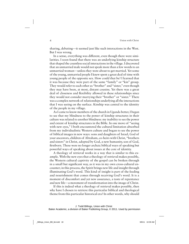sharing, debating—it seemed just like such interactions in the West. But I was wrong.

In a sense, everything was different, even though there were similarities. I soon found that there was an underlying kinship structure that shaped the countless social interactions in the village. I discovered that an unmarried male would not speak more than a few words to an unmarried woman—unless they were about to get married. Yet some of the young, unmarried people I knew spent a great deal of time with young people of the opposite sex. How could that be? I learned that it was because they were part of the same "family" or "kin" group. They would refer to each other as "brother" and "sister," even though they may have been, at most, distant cousins. Yet there was a great deal of closeness and flexibility allowed in these relationships since they would not consider marrying their "brother" or "sister." There was a complex network of relationships underlying all the interactions that I was seeing on the surface. Kinship was central to the identity of the people in my village.

As I came to know members of the church in Uganda better, I began to see that my blindness to the power of kinship structures in their culture was related to another blindness: my inability to see the power and extent of kinship structures in the Bible. In one move of "seeing with new eyes," I both encountered the cultural limitation absorbed from my individualistic Western culture and began to see the power of biblical images in new ways: sons and daughters of Israel, God of your ancestors, children of Abraham, co-heirs with Christ, "brothers and sisters" in Christ, adopted by God, a new humanity, son of God, firstborn. These were no longer archaic biblical ways of speaking but powerful ways of speaking about issues at the core of identity.

A theology of retrieval works in a way that is similar to this example. With the new eyes that a theology of retrieval makes possible, the Western cultural captivity of the gospel can be broken through in a small but significant way, as it was in my own cross-cultural encounter; in this process, the Spirit brings new life and insight through illuminating God's word. This kind of insight is part of the feeding and nourishment that comes through receiving God's word. It is a moment of discomfort and yet new assurance, a taste of repentance and new life—a movement of transformation into the image of Christ.

If this is indeed what a theology of retrieval makes possible, then why have I chosen to retrieve this particular biblical and theological theme from this particular historical era? In other words, why should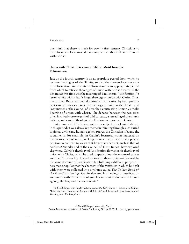one think that there is much for twenty-first-century Christians to learn from a Reformational rendering of the biblical theme of union with Christ?

### **Union with Christ: Retrieving a Biblical Motif from the Reformation**

Just as the fourth century is an appropriate period from which to retrieve theologies of the Trinity, so also the sixteenth-century era of Reformation and counter-Reformation is an appropriate period from which to retrieve theologies of union with Christ. Central in the debates at this time was the meaning of Paul's term "justification," a term that fits within Paul's larger theology of union with Christ. Thus, the cardinal Reformational doctrine of justification by faith presupposes and advances a particular theology of union with Christ—and is countered at the Council of Trent by a contrasting Roman Catholic doctrine of union with Christ. The debates between the two sides often involved close exegesis of biblical texts, a rereading of the church fathers, and careful theological reflection on union with Christ.

But union with Christ was not just a subject of polemical debate in this period; it was also a key theme in thinking through such varied topics as divine and human agency, prayer, the Christian life, and the sacraments. For example, in Calvin's *Institutes*, some material on justification is polemical, seeking to articulate a doctrinally precise position in contrast to views that he saw as aberrant, such as that of Andreas Osiander and of the Council of Trent. But as I have explored elsewhere, Calvin's theology of justification fit within his theology of union with Christ, which he used to speak about the nature of prayer and the Christian life. His reflections on these topics—informed by the same doctrine of justification but fulfilling a different purpose became so popular that the chapters of the *Institutes* in which he dealt with them were collected into a volume called *The Golden Book of the True Christian Life*. Calvin also used his theology of justification and union with Christ to configure his account of divine and human agency, the law, and the sacraments.<sup>10</sup>

10. See Billings, *Calvin, Participation, and the Gift*, chaps. 4–5. See also Billings, "John Calvin's Theology of Union with Christ," in Billings and Hesselink, *Calvin's Theology and Its Reception*.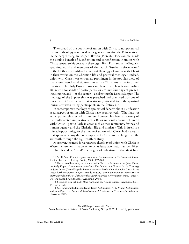The spread of the doctrine of union with Christ to nonpolemical realms of theology continued in the generations after the Reformation. Heidelberg theologian Caspar Olevian (1536–87), for example, made the double benefit of justification and sanctification in union with Christ central to his covenant theology.11 Both Puritans in the Englishspeaking world and members of the Dutch "further Reformation" in the Netherlands utilized a vibrant theology of union with Christ in their works on the Christian life and pastoral theology.12 Indeed, union with Christ was extremely prominent in the popular piety of many seventeenth- and eighteenth-century Christians in the Reformed tradition. The Holy Fairs are an example of this. These festivals often attracted thousands of participants for around four days of preaching, singing, and—at the center—celebrating the Lord's Supper. The theology of the Supper that was preached and practiced was one of union with Christ, a fact that is strongly attested to in the spiritual journals written by lay participants in the festivals.13

In contemporary theology, the polemical debates about justification as an aspect of union with Christ have been revived.14 What has not accompanied this revival of interest, however, has been a recovery of the multifaceted implications of a Reformational account of union with Christ—particularly in areas such as the sacraments, divine and human agency, and the Christian life and ministry. This in itself is a missed opportunity, for the theme of union with Christ had a vitality that spoke to many different aspects of Christian teaching from the sixteenth through the eighteenth century.

Moreover, the need for a renewed theology of union with Christ in Western churches is made acute by at least two major factors. First, the functional or "lived" theologies of salvation in the West have

11. See R. Scott Clark, *Caspar Olevian and the Substance of the Covenant* (Grand Rapids: Reformed Heritage Books, 2008), 137–209.

12. For an excellent analysis of union with Christ in Puritan author John Owen, see Kelly Kapic, *Communion with God: The Divine and Human in the Theology of John Owen* (Grand Rapids: Baker Academic, 2007). On union with Christ in the Dutch further Reformation, see Arie de Reuver, *Sweet Communion: Trajectories of Spirituality from the Middle Ages through the Further Reformation*, trans. James A. De Jong (Grand Rapids: Baker Academic, 2007).

13. See Leigh Eric Schmidt, *Holy Fairs*, 2nd ed. (Grand Rapids: Eerdmans, 2001), 14–15, 158–68.

14. See, for example, Husbands and Treier, *Justification*; N. T. Wright, *Justification*; and John Piper, *The Future of Justification: A Response to N. T. Wright* (Wheaton: Crossway, 2007).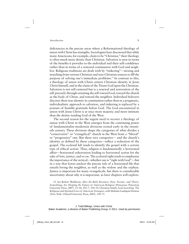deficiencies in the precise areas where a Reformational theology of union with Christ has strengths. Sociologists have discovered that while many Americans, for example, claim to be "Christian," their theology is often much more deistic than Christian. Salvation is seen in terms of the benefits it provides to the individual and their self-confidence rather than in terms of a restored communion with God and neighbor. Religious traditions are dealt with by "tinkering"—mixing and matching from various Christian and non-Christian sources to fill the purpose of solving one's immediate problems.15 In contrast to this, a theology of union with Christ centers Christian identity in Jesus Christ himself, and in the claim of the Triune God upon the Christian. Salvation is not self-centered but is a renewal and restoration of the self precisely through orienting the self toward God, toward the church as the body of Christ, and toward the neighbor. Individual believers discover their true identity in communion rather than in a pragmatic, individualistic approach to salvation, and tinkering is replaced by a posture of humble gratitude before God. The God encountered in union with Jesus Christ is at once more majestic and more intimate than the deistic-tending God of the West.

The second reason for the urgent need to recover a theology of union with Christ in the West emerges from the continuing power of fundamentalist-modernist divisions rooted early in the twentieth century. These divisions shape the categories of what divides a "conservative" or "evangelical" church in the West from a "liberal" or "progressive" one. But these very categories— and the church's identity as defined by these categories—reflect a reduction of the gospel. The ecclesial left tends to identify the gospel with a certain type of ethical action. Thus, religion is fundamentally a horizontal affair—horizontal exhortation leading to horizontal action for the sake of love, justice, and so on. The ecclesial right tends to emphasize the importance of the vertical—whether one is "right with God"—but in a way that leaves unclear the precise role of a horizontal life that entails loving the neighbor, as well as the widow and the orphan. Justice is important for many evangelicals, but there is considerable uncertainty about why it is important, as later chapters will explore.

15. See Robert Wuthnow, *After the Baby Boomers: How Twenty- and Thirty-Somethings Are Shaping the Future of American Religion* (Princeton: Princeton University Press, 2007), 13–16, 103–7, 134–35; Christian Smith, *Soul Searching: The Religious and Spiritual Lives of American Teenagers*, with Melinda Lundquist Denton (New York: Oxford University Press, 2005), 118–71.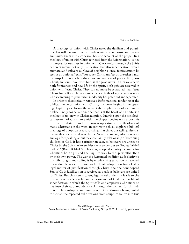A theology of union with Christ takes the dualism and polarities that still remain from the fundamentalist-modernist controversy and unites them into a cohesive, holistic account of the gospel. In a theology of union with Christ retrieved from the Reformation, justice is integral for our lives in union with Christ—for through the Spirit believers receive not only justification but also sanctification, which animates and enlivens our love of neighbor. Hence, justice cannot be seen as an optional "extra" for super-Christians. Yet on the other hand, the gospel can never be reduced to our own acts of justice. For Jesus Christ, and our union with him, is the good news: in him we receive both forgiveness and new life by the Spirit. Both gifts are received in union with Jesus Christ. They can no more be separated than Jesus Christ himself can be torn into pieces. A theology of union with Christ can bring together what modernity has polarized and separated.

In order to theologically retrieve a Reformational rendering of the biblical theme of union with Christ, this book begins in the opening chapter by exploring the remarkable implications of a common biblical image for salvation, one that is at the heart of a trinitarian theology of union with Christ: adoption. Drawing upon the sociological research of Christian Smith, the chapter begins with a portrait of how the distant God of deism is operative in the theology of many Christians in the West. In contrast to this, I explore a biblical theology of adoption as a surprising, if at times unsettling, alternative to this operative deism. In the New Testament, adoption is an analogy for speaking about the close family relationship of becoming children of God. It has a trinitarian cast, as believers are united to Christ by the Spirit, who enables them to cry out to God as "Abba! Father!" (Rom. 8:14–17). This new, adopted identity becomes for Christians both a gift and a calling—to walk by the Spirit rather than by their own power. The way the Reformed tradition adds clarity to this biblical gift and calling is by emphasizing salvation as received in the double grace of union with Christ: adoption is first of all a legal matter of justification through Christ, the one nonadopted Son of God; justification is received as a gift as believers are united to Christ. But this newly given, legally valid identity leads to the discovery of one's new life in the household of God—a new life of sanctification in which the Spirit calls and empowers Christians to live into their adopted identity. Although the context for this adopted relationship is communion with God through being united to Christ, the repeated exhortations from scripture to live into this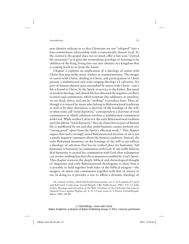new identity indicate to us that Christians are not "adopted" into a low-commitment relationship with a conveniently distant God. To the contrary, the gospel does not so much offer a low-cost "eternal life insurance" as it gives the tremendous privilege of learning to be children of the King, living into our new identity in a kingdom that is coming forth to us from the future.

Chapter 2 explores an implication of a theology of union with Christ that may strike many readers as counterintuitive. The images of union with Christ, abiding in Christ, and participation in Christ present a multifaceted and wide-ranging theology of salvation. No part of human identity goes untouched by union with Christ—one's life is found in Christ, by the Spirit, in service to the Father. But much in modern theology and church life has obscured the negative corollary to union and communion, which scripture also addresses: in ourselves, we are dead, slaves, and can do "nothing" to produce fruit. Thus, although it is missed by many who belong to Reformational traditions as well as by their detractors, a doctrine of the bondage of the will, or what some call "total depravity," corresponds to a doctrine of total communion in which salvation involves a multifaceted communion with God. While neither Calvin nor the early Reformational tradition used the phrase "total depravity," they do claim that no part of human life is unaffected by sin and that sinful humans cannot perform any "saving good" apart from the Spirit's effectual work.16 This chapter argues that such a strongly stated Reformational doctrine of sin is not a purely negative statement about the human condition. Instead, the early Reformed insistence on the bondage of the will to sin reflects a theology of salvation that has an exalted place for humanity: full humanity is humanity in communion with God. If one really believes that humanity is created for communion with God, then redemption can involve nothing less than the communion enabled by God's Spirit. This chapter retrieves the deeply biblical and christological thought of Augustine and early Reformational theologians to show how it is possible to hold together both sides of the biblical imagery—the imagery of union and communion together with that of slavery to sin. In doing so, it provides a way to affirm a dynamic theology of

16. Canons of Dort, third and fourth main points, art. 3, in *Ecumenical Creeds and Reformed Confessions* (Grand Rapids: CRC Publications, 1987), 133. Cf. John Calvin, *Bondage and Liberation of the Will: A Defence of the Orthodox Doctrine of Human Choice against Pighius*, ed. A. N. S. Lane, trans. G. I. Davies (Grand Rapids: Baker, 1996), 68–69.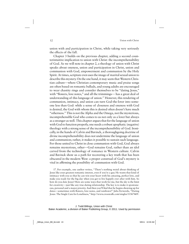union with and participation in Christ, while taking very seriously the effects of the fall.

Chapter 3 builds on the previous chapter, adding a second counterintuitive implication to union with Christ: the incomprehensibility of God. As we will note in chapter 2, a theology of union with Christ speaks about oneness, union and participation in Christ, union and communion with God, empowerment and communion by the Holy Spirit. At times, scripture even uses the image of marital sexual union to describe this mystery. On the one hand, it may seem that Western Christian culture—where Christian contemporary music and praise songs are often based on romantic ballads, and young adults are encouraged to wear chastity rings and consider themselves to be "dating Jesus," with "flowers, love notes," and all the trimmings— has a great deal of understanding of this language of union.17 However, this rendering of communion, intimacy, and union can turn God-the-lover into someone less than God: while a sense of closeness and oneness with God is desired, the God with whom this is desired often doesn't have much "otherness." This is not the Alpha and the Omega, not the mysterious, incomprehensible God who comes to us not only as a lover but always as a stranger as well. This chapter argues that for the language of union with God to function properly, one needs a robust apophatic (negative) theology with a strong sense of the incomprehensibility of God. Ironically, in the hands of Calvin and Bavinck, a thoroughgoing doctrine of divine incomprehensibility does not undermine the language of union and communion; rather, it makes it possible to sustain such language. For those united to Christ in close communion with God, God always remains mysterious, other—God remains God, rather than an idol carved from the technology of romance in Western culture. Calvin and Bavinck show us a path for recovering a key truth that has been obscured in the modern West: a proper construal of God's mystery is vital in affirming the possibility of communion with God.

17. For example, one author writes, "There's nothing weird about thinking of Jesus like your greatest romantic interest, even if you're a guy. He wants that kind of intimacy with you so that he can win your heart with his amazing, perfect love, and make you ready for the big day when you get to live happily ever after with him. So how do you date Jesus? Here are some ways that work for me, but the sky is the limit for creativity—just like any true dating relationship. The key is to make it spontaneous, personal and a major priority. And then you'll find that he begins showing up for dates—sometimes with flowers, love notes, and rainbows!" Julia Ferwerda, "Dating Jesus: The Single Cure for Loneliness," http://www.crosswalk.com/singles/11567469/.

12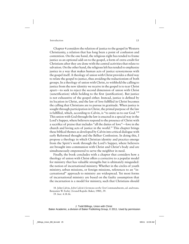Chapter 4 considers the relation of justice to the gospel in Western Christianity, a relation that has long been a point of confusion and contention. On the one hand, the religious right has tended to frame justice as an optional add-on to the gospel, a form of extra credit for Christians after they are done with the central activities that relate to salvation. On the other hand, the religious left has tended to emphasize justice in a way that makes human acts of justice synonymous with the gospel itself. A theology of union with Christ provides a third way to relate the gospel to justice, thus avoiding the reductionism of both groups. In a theology of union with Christ, to withhold the calling to justice from the new identity we receive in the gospel is to tear Christ apart—to seek to reject the second dimension of union with Christ (sanctification) while holding to the first (justification). But justice is not exhaustive of the gospel either. Instead, justice is defined by its location in Christ, and the law of love fulfilled in Christ becomes the calling that Christians are to pursue in gratitude. When justice is sought through participation in Christ, the primal purpose of the law is fulfilled, which, according to Calvin, is "to unite us to our God."18 This union with God through the law is enacted in a special way in the Lord's Supper, where believers respond to the presence of Christ with a sacrifice of praise that includes "all the duties of love"—love in the church and loving acts of justice in the world.19 This chapter brings these biblical themes as developed by Calvin into critical dialogue with early Reformed thought and the Belhar Confession. In doing this, I propose a theology in which Christian identity and practice emerge from the Spirit's work through the Lord's Supper, where believers are brought into communion with Christ and Christ's body and are simultaneously empowered to serve the neighbor in need.

Finally, the book concludes with a chapter that considers how a theology of union with Christ offers a corrective to a popular model for ministry that has valuable strengths but is ultimately misguided: the notion of incarnational ministry. Whether in the circles of youth ministry, urban missions, or foreign missions, references to an "incarnational" approach to ministry are widespread. Yet most forms of incarnational ministry are based on the faulty assumption that the incarnation is a model for ministry, such that Christians should

19. *Inst*. 4.18.16.

<sup>18.</sup> John Calvin, *John Calvin's Sermons on the Ten Commandments*, ed. and trans. Benjamin W. Farley (Grand Rapids: Baker, 1980), 39.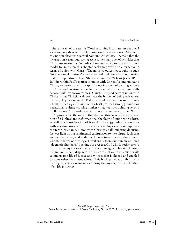imitate the act of the eternal Word becoming incarnate. As chapter 5 seeks to show, there is no biblical support for such a notion. Moreover, this notion obscures a central point in Christology—namely, that the incarnation is a unique, saving event rather than a set of activities that Christians are to copy. But rather than simply criticize an incarnational model for ministry, this chapter seeks to provide an alternative in terms of union with Christ. The ministry outcomes sought through "incarnational ministry" can be realized and refined through seeing that the imperative to have "the same mind" as "Christ Jesus" (Phil. 2:5) fits within Paul's matrix of union with Christ. As ones united to Christ, we participate in the Spirit's ongoing work of bearing witness to Christ and creating a new humanity in which the dividing walls between cultures are overcome in Christ. The good news of union with Christ is that Christians do not have the burden of being redeemers; instead, they belong to the Redeemer and bear witness to the living Christ. A theology of union with Christ provides strong grounds for a relational, culture-crossing ministry that is always pointing beyond itself to Jesus Christ—the sole Redeemer, the unique incarnate Word.

Approached in the ways outlined above, this book offers an exposition of a biblical and Reformational theology of union with Christ, as well as a consideration of how this theology radically contrasts with key dimensions of the operative theologies of contemporary Western Christianity. Union with Christ is an illuminating doctrine. It sheds light on our sentimental capitulation to the cultural idols that are less than God, and it shows the way toward a revitalized life in Christ. In terms of theology, it awakens us from our human-centered "dogmatic slumbers," opening our eyes to a God who is both closer to us and more mysterious than we had ever imagined. In our Christian life and ministry, it displaces the heroic role of our own action while calling us to a life of justice and witness that is shaped and enabled by none other than Jesus Christ. This book provides a biblical and theological entryway for rediscovering the mystery of the Christian life—life in Christ.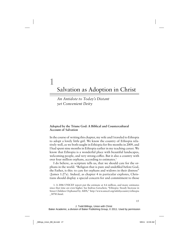### 1 Salvation as Adoption in Christ

### *An Antidote to Today's Distant yet Convenient Deity*

### **Adopted by the Triune God: A Biblical and Countercultural Account of Salvation**

In the course of writing this chapter, my wife and I traveled to Ethiopia to adopt a lovely little girl. We know the country of Ethiopia relatively well, as we both taught in Ethiopia for five months in 2009, and I had spent nine months in Ethiopia earlier in my teaching career. We know that Ethiopia is a wonderful place with beautiful landscapes, welcoming people, and very strong coffee. But it also a country with over four million orphans, according to estimates.<sup>1</sup>

I do believe, as scripture tells us, that we should care for the orphans in the world. "Religion that is pure and undefiled before God, the Father, is this: to care for orphans and widows in their distress" (James 1:27a). Indeed, as chapter 4 in particular explores, Christians should display a special concern for and commitment to those

1. A 2006 UNICEF report put the estimate at 4.6 million, and many estimates since that time are even higher. See Indrias Getachew, "Ethiopia: Steady Increase in Street Children Orphaned by AIDS," http://www.unicef.org/infobycountry/ethiopia \_30783.html.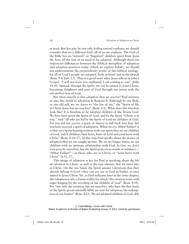in need. But lest pity be our only feeling toward orphans, we should consider that on a different level, all of us are orphans. The God of the Bible has no "natural" or "begotten" children apart from Jesus the Son; all the rest of us need to be adopted. Although there are important differences between the biblical metaphor of adoption and adoption practices today (which we explore below), we should not underestimate the extraordinary power of this biblical analogy: for all of God's people are adopted, both in Israel and in the church (Rom. 9:4; Eph. 1:5). Thus it is good news when Jesus tells us in John's Gospel, "I will not leave you orphaned; I am coming to you" (John 14:18). Instead, through the Spirit, we can be united to Jesus Christ, becoming daughters and sons of God through our union with the one perfect Son of God.

But what exactly is this adoption that we receive? Paul initiates us into this world of adoption in Romans 8. Although by our flesh, or our old self, we are slaves to "the law of sin," the "Spirit of life in Christ Jesus has set you free" (Rom. 8:2). What does this freedom look like? It is freedom to be adopted children of the Triune God. We have been given the Spirit of God, and by the Spirit "Christ is in you." And "all who are led by the Spirit of God are children of God. For you did not receive a spirit of slavery to fall back into fear, but you have received a spirit of adoption. When we cry, 'Abba! Father!'it is that very Spirit bearing witness with our spirit that we are children of God, and if children, then heirs, heirs of God and joint heirs with Christ" (Rom. 8:14–17). In this way, Paul speaks about the drama of adoption that we are caught up into. We are no longer slaves; we are children with an intimate relationship with God. In fact, we don't even pray by ourselves, but the Spirit prays in us words of intimacy— "Abba! Father!"—as those who are in Christ, or "joint heirs with Christ" (8:15, 17).

This image of adoption is key for Paul in speaking about the life of salvation in Christ, as well as the new identity that we enter into in Christ. On the one hand, the Spirit assures Christians that they already belong to God—they can cry out to God as Father, as ones united to Jesus Christ. Yet, as Paul indicates later in the same chapter, this adoption is also a future reality for which "the creation waits with eager longing for the revealing of the children of God" (Rom. 8:19). For "not only the creation, but we ourselves, who have the first fruits of the Spirit, groan inwardly while we wait for adoption, the redemption of our bodies" (Rom. 8:23). We are adopted children of God, able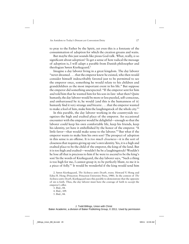to pray to the Father by the Spirit, yet even this is a foretaste of the consummation of adoption for which the creation groans and waits.

But maybe this just sounds like pious God-talk. What, really, *is* so significant about adoption? To get a sense of how radical the message of adoption is, I will adapt a parable from Danish philosopher and theologian Søren Kierkegaard.2

Imagine a day laborer living in a great kingdom. The day laborer "never dreamed . . . that the emperor knew he existed, who then would consider himself indescribably favored just to be permitted to see the emperor once, something he would relate to his children and grandchildren as the most important event in his life." But suppose the emperor did something unexpected: "If the emperor sent for him and told him that he wanted him for his son-in-law: what then? Quite humanly, the day laborer would be more or less puzzled, self-conscious, and embarrassed by it; he would (and this is the humanness of it) humanly find it very strange and bizarre . . . that the emperor wanted to make a fool of him, make him the laughingstock of the whole city."3

In this parable, the day laborer working in the countryside recognizes the high and exalted place of the emperor. An occasional encounter with the emperor would be delightful—enough so that the laborer could keep his own comfortable life, keep his friends, keep his identity, yet have it embellished by the honor of the emperor. "A little favor—that would make sense to the laborer."4 But what if the emperor wants to make him his own son? The prospect of adoption in this sense is an offense. It is *too much closeness*—it is the sort of closeness that requires giving up one's own identity. Yes, it is a high and exalted place to be the child of the emperor, the king of the land. But it is too high and exalted—wouldn't he be a laughingstock? Wouldn't he lose all that is precious to him if he were to ascend to be the king's son? In the words of Kierkegaard, the day laborer says, "Such a thing is too high for me, I cannot grasp it; to be perfectly blunt, to me it is a piece of folly."5 It would be wonderful if the king would send him

2. Søren Kierkegaard, *The Sickness unto Death*, trans. Howard V. Hong and Edna H. Hong (Princeton: Princeton University Press, 1980). In the context of *The Sickness unto Death*, Kierkegaard uses this parable to demonstrate that the opposite of sin is faith. Thus, the day laborer must have the courage of faith to accept the emperor's offer.

<sup>3.</sup> Ibid., 84.

<sup>4.</sup> Ibid., 109.

<sup>5.</sup> Ibid., 84.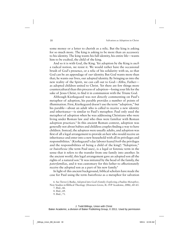some money or a letter to cherish as a relic. But the king is asking for so much more. The king is asking to be more than an accessory to his identity. The king wants his full identity, his entire life—wants him to be exalted, the child of the king.

And so it is with God, the King. Yet adoption by the King is *such*  a radical notion, we resist it. We would rather have the occasional brush of God's presence, or a relic of his solidarity with us, so that God can be an appendage of *our* identity. But God wants more than that; he wants our lives, our adopted identity. By bringing us into the new reality of the Spirit, we can call out to God—Abba, Father as adopted children united to Christ. Yet there are few things more countercultural than this process of adoption—losing your life for the sake of Jesus Christ, to find it in communion with the Triune God.

Although Kierkegaard was not directly commenting on Paul's metaphor of adoption, his parable provides a number of points of illumination. First, Kierkegaard doesn't use the term "adoption," but his parable—about an adult who is called to receive a new identity and inheritance—is similar to Paul's metaphor. Paul only used the metaphor of adoption when he was addressing Christians who were living under Roman law and who thus were familiar with Roman adoption practices.<sup>6</sup> In this ancient Roman context, adoption was generally not about babies and childless couples finding a way to have children. Instead, the adoptees were usually adults, and adoption was first of all a legal arrangement to provide an heir who would receive an inheritance and enter into a new household with all its privileges and responsibilities.7 (Kierkegaard's day laborer feared *both* the privileges and the responsibilities of being a child of the king!) "Adoption," or *huiothesia* (the term Paul uses), is a legal or forensic term in the sense that it refers to the transfer from one family into another. In the ancient world, this legal arrangement gave an adopted son all the rights of a natural son.<sup>8</sup> It was initiated by the head of the family, the *paterfamilias*, and it was customary for this father to affectionately receive the adopted son as a part of his new family.<sup>9</sup>

In light of this ancient background, biblical scholars have made the case for Paul using the term *huiothesia* as a metaphor for salvation

<sup>6.</sup> See Trevor J. Burke, *Adopted into God's Family: Exploring a Pauline Metaphor*, New Studies in Biblical Theology (Downers Grove, IL: IVP Academic, 2006), 60–63.

<sup>7.</sup> Ibid., 66.

<sup>8.</sup> Ibid., 69.

<sup>9.</sup> Ibid., 71.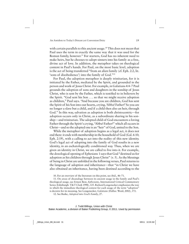with certain parallels to this ancient usage.<sup>10</sup> This does not mean that Paul uses the term in exactly the same way that it was used for the Roman family, however.<sup>11</sup> For starters, God has no inherent need to make heirs, but he chooses to adopt sinners into his family as a free, divine act of love. In addition, the metaphor takes on theological content in Paul's hands. For Paul, on the most basic level, adoption is the act of being transferred "from an alien family (cf. Eph. 2:2, lit. 'sons of disobedience') into the family of God."12

For Paul, the adoption metaphor is deeply trinitarian, for it is initiated by the Father, mediated by the Spirit, and grounded in the person and work of Jesus Christ. For example, in Galatians 4:4–7 Paul grounds the adoption of sons and daughters in the sonship of Jesus Christ, who is sent by the Father, which is testified to in believers by the Spirit. "God sent his Son . . . so that we might receive adoption as children," Paul says. "And because you are children, God has sent the Spirit of his Son into our hearts, crying, 'Abba! Father!'So you are no longer a slave but a child, and if a child then also an heir, through God." In this way, salvation as adoption is both christocentric—for adoption occurs only in Christ, as a subordinate sharing in his sonship—and trinitarian. The adopted child of God encounters a loving Father through the Spirit's crying, "Abba! Father!" which all occurs in Christ—and so the adopted one is an "heir" of God, united to the Son.

While the metaphor of adoption begins as a legal act, it does not end there: it ends with membership in the household of God (Gal. 6:10; Eph. 2:19), with a calling to act into the reality of this new identity. God's legal act of adopting into the family of God results in a new identity, in an eschatologically conditioned way. Thus, when we are given an identity in Christ, we are called to live into it. For example, the doxological opening of Ephesians 1 says that God "destined us for adoption as his children through Jesus Christ" (v. 5). As the blessings of being in Christ are unfolded in the following verses, Paul returns to the language of adoption and inheritance—that "in Christ we have also obtained an inheritance, having been destined according to the

10. For an overview of the literature on this point, see ibid., 46–71.

11. On areas of disanalogy between its ancient usage in the family and Paul's theological usage, see Ernest Best, *Ephesians*, International Critical Commentary Series (Edinburgh: T&T Clark 1998), 125. Richard Longenecker emphasizes the way in which the immediate theological context for each usage of the term "adoption" is decisive for its meaning. See Longenecker, *Galatians* (Dallas: Word, 2002), 172.

12. See Burke, *Adopted into God's Family*, 27.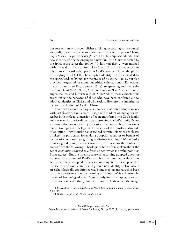purpose of him who accomplishes all things according to his counsel and will, so that we, who were the first to set our hope on Christ, *might live for the praise of his glory*" (1:11–12, emphasis added). This new identity of one belonging to a new family in Christ is sealed by the Spirit in the verses that follow: "In him you also . . . were marked with the seal of the promised Holy Spirit; this is the pledge of our inheritance toward redemption as God's own people, to the praise of his glory" (1:13–14). The adopted identity in Christ, sealed by the Spirit, leads to living "for the praise of his glory" (1:12), but also provides the ground for numerous ethical exhortations in Ephesians: the call to unity (4:13); to prayer (6:18); to speaking and living the truth in Christ (4:15, 21, 25; 6:14); to living in "love" rather than in anger, malice, and bitterness  $(4:21-5:1)$ .<sup>13</sup> All of these exhortations are to reflect the behavior of those who have been conferred a new adopted identity in Christ and who seek to live into this inheritance received as children of God in Christ.

In contrast to some theologians who have associated adoption only with justification, Paul's overall usage of the adoption metaphor describes both the legal dimension of being transferred into God's family and the transformative dimension of growing in God's family. By associating adoption only with justification, theologians have sometimes tended to emphasize the legal at the expense of the transformative side of adoption. Trevor Burke has criticized certain Reformed scholastic thinkers, in particular, for making adoption a subset or benefit of justification without recognizing its distinct meaning.14 While Burke makes a good point, I suspect some of the reason for the confusion comes from the following: Theologians have often spoken about the act of *becoming adopted* as a forensic act, which is a valid point (as Burke agrees). But the forensic sense of becoming adopted does not exhaust the meaning of Paul's metaphor, because the result of that act is that one is adopted to be a son or daughter of God, placed in the security of God's family, and given a new identity to live into in an eschatologically conditioned way. Some theologians have thus been too quick to assume that the meaning of "adoption" is exhausted by the act of *becoming* adopted. Significantly for this chapter, however, this is not a mistake that John Calvin makes. Calvin uses the image

14. Burke, *Adopted into God's Family*, 23–26.

<sup>13.</sup> See Andrew T. Lincoln, *Ephesians*, Word Biblical Commentary (Dallas: Word, 2002), 19.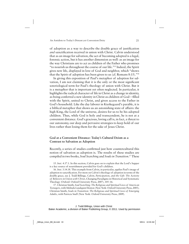of adoption as a way to describe the double grace of justification *and* sanctification received in union with Christ. Calvin understood that as an image for salvation, the act of becoming adopted is a legal, forensic action, but it has another dimension as well: as an image for the way Christians are to act as children of the Father who promises "to nourish us throughout the course of our life."15 Indeed, the Spirit gives new life, displayed in love of God and neighbor, which "shows that the Spirit of adoption has been given to us (cf. Romans 8:15)."16

In giving this exposition of Paul's metaphor of adoption for salvation, I am not claiming that it is the only or the most significant soteriological term for Paul's theology of union with Christ. But it is a metaphor that is important yet often neglected. In particular, it highlights the radical character of life in Christ as a change in identity, as being conferred a new identity in Christ as children of God—filled with the Spirit, united to Christ, and given access to the Father in God's household. Like the day laborer in Kierkegaard's parable, it is a biblical metaphor that shows us an astonishing state of affairs: the high King, the Lord of the universe, desires for us to be his adopted children. Thus, while God is holy and transcendent, he is not at a convenient distance. God's gracious, loving call is, in fact, a threat to our autonomy, our deep and pervasive strategies to keep hold of our lives rather than losing them for the sake of Jesus Christ.

### **God at a Convenient Distance: Today's Cultural Deism as a Contrast to Salvation as Adoption**

Recently, a series of studies confirmed just how countercultural this notion of salvation as adoption is. The results of these studies are compiled in two books, *Soul Searching* and *Souls in Transition*. 17 These

15. *Inst.* 4.17.1. In this section, Calvin goes on to explain that the Lord's Supper is a key source of nourishment provided for God's children.

16. *Inst.* 3.14.18. This example from Calvin, in particular, applies Paul's image of adoption to sanctification. For more on Calvin's theology of adoption in terms of the double grace, see J. Todd Billings, *Calvin, Participation, and the Gift: The Activity of Believers in Union with Christ*, Changing Paradigms in Historical and Systematic Theology (Oxford: Oxford University Press, 2007), 105–16.

17. Christian Smith, *Soul Searching: The Religious and Spiritual Lives of American Teenagers*, with Melinda Lundquist Denton (New York: Oxford University Press, 2005); Christian Smith, *Souls in Transition: The Religious and Spiritual Lives of Emerging Adults*, with Patricia Snell (New York: Oxford University Press, 2009).

Baker Academic, a division of Baker Publishing Group, © 2011. Used by permission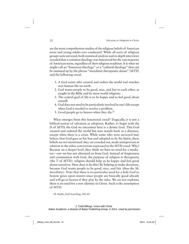are the most comprehensive studies of the religious beliefs of American teens and young adults ever conducted. While all sorts of religious groups were surveyed, both statistical analysis and in-depth interviews revealed that a common theology was functional for the vast majority of American teens, regardless of their religious tradition. It is what we might call an "American theology" or a "cultural theology" that can be summed up by the phrase "moralistic therapeutic deism" (MTD) and the following creed:

- 1. A God exists who created and orders the world and watches over human life on earth.
- 2. God wants people to be good, nice, and fair to each other, as taught in the Bible and by most world religions.
- 3. The central goal of life is to be happy and to feel good about oneself.
- 4. God does not need to be particularly involved in one's life except when God is needed to resolve a problem.
- 5. Good people go to heaven when they die.18

What emerges from this functional creed? Tragically, it is not a biblical notion of salvation as adoption. Rather, to begin with the D of MTD, the God we encounter here is a deistic God. This God created and ordered the world but now stands back at a distance, except when there is a crisis. While some who were surveyed may believe that God gave us his Son and adopted us by his Spirit, these beliefs are not mentioned: they are crowded out, made unimportant in relation to the other convictions expressed in the MTD creed. Why? Because on a deeper level, they think we have no need for a mediator—our sin has not alienated us from God. Instead of forgiveness and communion with God, the purpose of religion is therapeutic (the T of MTD): religion should help us be happy and feel good about ourselves. How does it do this? By helping us make decisions, because God wants people to be good, nice, and fair (thus the M: moralistic). Note that there is no particular need for a holy God to bestow grace upon sinners since people are basically good already and will go to heaven if they play by the rules. We are not orphans; there is no need for a new identity in Christ. Such is the assumption of MTD.

18. Smith, *Soul Searching*, 162–63.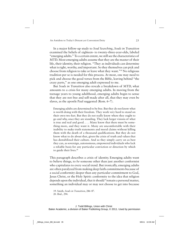In a major follow-up study to *Soul Searching*, *Souls in Transition* examined the beliefs of eighteen- to twenty-three-year-olds, labeled "emerging adults." To a certain extent, we still see the characteristics of MTD. Most emerging adults assume that they are the master of their life, their identity, their religion. "They as individuals can determine what is right, worthy, and important. So they themselves can pick and choose from religion to take or leave what they want."19 No religious tradition per se is needed for this process. At most, one may need to pick and choose the good verses from the Bible, leaving behind "the crazy parts," as one emerging adult expressed to me.

But *Souls in Transition* also reveals a breakdown of MTD, what amounts to a crisis for many emerging adults. In moving from the teenage years to young adulthood, emerging adults begin to sense that they are not free and self-made after all, that they may even be slaves, as the apostle Paul suggested (Rom. 6–7).

Emerging adults are determined to be free. But they do not know what is worth doing with their freedom. They work very hard to stand on their own two feet. But they do not really know where they ought to go and why, once they are standing. They lack larger visions of what is true and real and good. . . . Many know that there must be something more, and they want it. Many are uncomfortable with their inability to make truth statements and moral claims without killing them with the death of a thousand qualifications. But they do not know what to do about that, given the crisis of truth and values that has destabilized their culture. And so they simply carry on as best they can, as sovereign, autonomous, empowered individuals who lack a reliable basis for any particular conviction or direction by which to guide their lives.<sup>20</sup>

This paragraph describes a crisis of identity. Emerging adults want to believe things, to *be* someone other than just another conformist who capitulates to every social trend. But ironically, emerging adults are often paralyzed from making deep faith commitments because of a social conformity deeper than any particular commitment to God, Jesus Christ, or the Holy Spirit: conformity to the idea that religion depends upon the individual, that it should "remain a personal matter, something an individual may or may not choose to get into because

19. Smith, *Souls in Transition*, 286–87. 20. Ibid., 294.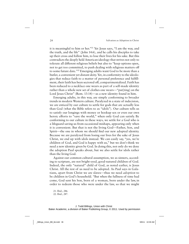it is meaningful to him or her."21 Yet Jesus says, "I am the way, and the truth, and the life" (John 14:6), and he calls his disciples to take up their cross and follow him, to lose their lives for his sake. But this contradicts the deeply held American ideology that strives not only to tolerate all different religious beliefs but also to "keep options open, not to get too committed, to push dealing with religious matters off to some future date."22 Emerging adults want God to be more than a butler, a convenient yet distant deity. Yet, in conformity to the ideologies that reduce faith to a matter of personal preference and fulfillment, their faith has been sectored off, compartmentalized. Faith has been reduced to a necklace one wears as part of a self-made identity rather than a whole new set of clothes one wears—"put[ting] on the Lord Jesus Christ" (Rom. 13:14)—as a new identity found in him.

Emerging adults, in this way, are simply conforming to broader trends in modern Western culture. Paralyzed in a state of indecision, we are enticed by our culture to settle for gods that are actually less than God (what the Bible refers to as "idols"). Our culture tells us to satisfy our longings with money or hookup sex or even our own heroic efforts to "save the world," when only God can satisfy. By conforming to our culture in these ways, we settle for a God who is a lifeguard saving us from occasional mishaps, appearing only when it is convenient. But that is not the living God—Father, Son, and Spirit—the one in whom we should find our new adopted identity. Because we are paralyzed from losing our lives for the sake of Jesus Christ, we end up with idols instead. We can easily say, "yes, we're children of God, and God is happy with us," but we don't think we need a new identity given by God. In doing this, not only do we deny the adoption Paul speaks about, but we also settle for idols rather than the living God.

Against our common cultural assumption, we as sinners, according to scripture, are not bright-eyed, good-natured children of God. Indeed, the only "natural" child of God, as noted earlier, is Jesus Christ. All the rest of us need to be adopted. As Paul says in Galatians, apart from Christ we are slaves—thus we need *adoption* to be children in God's household. "But when the fullness of time had come, God sent his Son, born of a woman, born under the law, in order to redeem those who were under the law, so that we might

21. Ibid., 286. 22. Ibid., 287.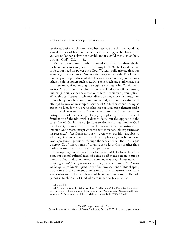receive adoption as children.And because you are children, God has sent the Spirit of his Son into our hearts, crying, 'Abba! Father!' So you are no longer a slave but a child, and if a child then also an heir, through God" (Gal. 4:4–6).

We display our sinful rather than adopted identity through the idols we construct in place of the living God. We feel weak, so we project our need for power onto God. We want solidarity against our enemies, so we construct a God who is always on our side. This human tendency to project idols onto God is widely recognized, even among atheistic philosophers such as Ludwig Feuerbach and Karl Marx. But it is also recognized among theologians such as John Calvin, who writes, "They do not therefore apprehend God as he offers himself, but imagine him as they have fashioned him in their own presumption. When this gulf opens, in whatever direction they move their feet, they cannot but plunge headlong into ruin. Indeed, whatever they afterward attempt by way of worship or service of God, they cannot bring as tribute to him, for they are worshiping not God but a figment and a dream of their own heart."23 Some may think that Calvin, with his critique of idolatry, is being a killjoy by replacing the nearness and familiarity of the idol with a distant deity. But the opposite is the case. One of Calvin's key objections to idolatry is that it makes God too distant, not too close. "For we know that we are accustomed to imagine God absent, except when we have some sensible experience of his presence."<sup>24</sup> Yet God is not absent, even when our idols are absent. Although Calvin believes that we do need physical, sensible signs of God's presence—provided through the sacraments—these are signs whereby God "offers himself" to unite us to Jesus Christ rather than idols that we construct for our own purposes.

In adoption, God comes closer to us than MTD allows. In adoption, our central cultural ideal of being a self-made person is put on the cross. But in adoption, we also enter into the playful, joyous world of *living as children of a gracious Father, as persons united to Christ and empowered by the Spirit*. In the final two sections of this chapter, I want to explore different dimensions of this transformation from slaves who are under the illusion of being autonomous, "self-made persons" to children of God who are united to Jesus Christ.

24. Comm. on Gen. 8:1, CTS. See Heiko A. Oberman, "The Pursuit of Happiness: Calvin between Humanism and Reformation," in *Humanity and Divinity in Renaissance and Reformation*, ed. John O'Malley (Leiden: Brill, 1993), 278n80.

<sup>23.</sup> *Inst*. 1.4.1.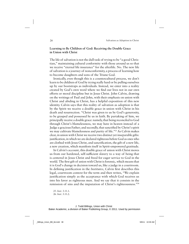### **Learning to Be Children of God: Receiving the Double Grace in Union with Christ**

The life of salvation is not the dull task of trying to be "a good Christian," maintaining cultural conformity with those around us so that we receive "eternal life insurance" for the afterlife. No. The new life of salvation is a journey of nonconformity, a process of learning how to become daughters and sons of the Triune God.

Ironically, even though this is a countercultural process, we don't learn to be children of God by trying really hard or by pulling ourselves up by our bootstraps as individuals. Instead, we enter into a reality created by God's own word where we find our lives not in our own efforts or moral discipline but in Jesus Christ. John Calvin, drawing on the writings of Paul and John, with their emphasis on union with Christ and abiding in Christ, has a helpful exposition of this new identity. Calvin says that this reality of salvation as adoption is that by the Spirit we receive a double grace in union with Christ in his death and resurrection. "Christ was given to us by God's generosity, to be grasped and possessed by us in faith. By partaking of him, we principally receive a double grace: namely, that being reconciled to God through Christ's blamelessness, we may have in heaven instead of a Judge a gracious Father; and secondly, that sanctified by Christ's spirit we may cultivate blamelessness and purity of life."<sup>25</sup> As Calvin makes clear, in union with Christ we receive two distinct yet inseparable gifts: justification, in which we are declared righteous before God as ones who are clothed with Jesus Christ, and sanctification, the gift of a new life, a new creation, which manifests itself in Spirit-empowered gratitude.

In Calvin's account, this double grace of union with Christ moves us from our hardened, self-sufficient slavery to a way of being that is centered in Jesus Christ and freed for eager service to God in the world. The first gift of union with Christ is forensic, which means that it is God's change in decision toward us, like a judge in a courtroom. In defining justification in the *Institutes*, Calvin first describes this legal, courtroom context for the term and then writes, "We explain justification simply as the acceptance with which God receives us into his favor as righteous men. And we say that it consists in the remission of sins and the imputation of Christ's righteousness."26

25. *Inst*. 3.11.1. 26. *Inst.* 3.11.2.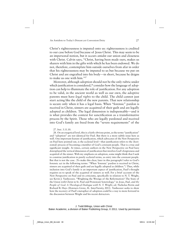Christ's righteousness is imputed onto us: righteousness is credited to our case before God because of Jesus Christ. This may seem to be an impersonal notion, but it occurs amidst our union and closeness with Christ. Calvin says, "Christ, having been made ours, makes us sharers with him in the gifts with which he has been endowed. We do not, therefore, contemplate him outside ourselves from afar in order that his righteousness may be imputed to us but because we put on Christ and are engrafted into his body—in short, because he deigns to make us one with him "27"

Moreover, although adoption should not be the only rubric under which justification is considered,<sup>28</sup> consider how the language of adoption can help to illuminate the role of justification. For any adoption to be valid, in the ancient world as well as our own, the adoptive parents must have *legal rights* to the child. The child cannot just start acting like the child of the new parents. That new relationship is secure only when it has a legal basis. When "forensic" pardon is received in Christ, sinners are acquitted of their guilt and are legally adopted as children. The legal dimension is indispensable—and it is what provides the context for sanctification as a transformative process by the Spirit. Those who are legally pardoned and received into God's family are freed from the "severe requirements" of the

#### 27. *Inst*. 3.11.10.

28. On an exegetical level, this is a fairly obvious point, as the terms "justification" and "adoption" are not identical for Paul. But there is a more subtle issue here as well. One important feature of justification, which advocates of the New Perspective on Paul have pointed out, is the ecclesial level—that justification refers to the (horizontal) process of becoming a member of God's covenant people. That is a true and significant insight. At times, certain authors in the New Perspective on Paul have downplayed the vertical dimension of justification that involves God's forgiveness and acquittal of the sinner. With my emphasis on adoption, some might think that I seek to construe justification in purely ecclesial terms, as entry into the covenant people. But that is not the case. (To make this clear, later in this paragraph I refer to God's forensic act in the following terms: "When 'forensic' pardon is received in Christ, sinners are acquitted of their guilt and are legally adopted as children.") Thus, while inclusion into God's family is an important aspect of justification, Paul's thought requires us to speak of the acquittal of sinners as well. For a brief account of the New Perspective on Paul and its criticisms, specifically in relation to N. T. Wright, see Kevin J. Vanhoozer, "Wrighting the Wrongs of the Reformation? The State of the Union with Christ in St. Paul and Protestant Soteriology," in *Jesus, Paul, and the People of God: A Theological Dialogue with N. T. Wright*, ed. Nicholas Perrin and Richard B. Hays (Downers Grove, IL: InterVarsity, 2011). Vanhoozer seeks to show how the recovery of Paul's metaphor of adoption could be a way to move forward in the discussion between Wright and his recent detractors.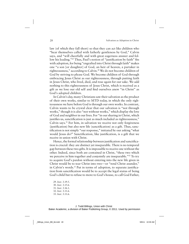law (of which they fall short) so that they can act like children who "hear themselves called with fatherly gentleness by God," Calvin says, and "will cheerfully and with great eagerness answer and follow his leading."<sup>29</sup> Thus, Paul's notion of "justification by faith" fits with adoption, for being "engrafted into Christ through faith" makes one "a son [or daughter] of God, an heir of heaven, a partaker in righteousness," according to Calvin.30 We do not become children of God by striving to please God. We become children of God through embracing Jesus Christ as our righteousness, through putting faith in Jesus Christ, who lived, died, and rose again for our sake. We add nothing to this righteousness of Jesus Christ, which is received as a gift as we lose our old self and find ourselves anew "in Christ" as God's adopted children.

In Calvin's day, many Christians saw their salvation as the product of their own works, similar to MTD today, in which the only righteousness we have before God is through our own works. In contrast, Calvin wants to be crystal clear that our salvation is "not through works," though it is also "not without works," which display the love of God and neighbor in our lives. For "in our sharing in Christ, which justifies us, sanctification is just as much included as righteousness," Calvin says.31 For him, in salvation we receive not only forgiveness (justification) but also new life (sanctification) as a gift. Thus, sanctification is not simply "our response," initiated by our asking "what would Jesus do?" Sanctification, like justification, is a gift that we receive in union with Christ.

Hence, the formal relationship between justification and sanctification is crucial: they are distinct yet inseparable. There is no temporal gap between these two gifts. It is impossible to receive one without the other. Indeed, since both are contained in Christ, "these two which we perceive in him together and conjointly are inseparable."32 To try to acquire God's pardon without entering into the new life given in Christ would be to tear Christ into two—or "rend Christ asunder," in Calvin's words.33 Put in terms of adoption, to separate justification from sanctification would be to accept the legal status of being God's child but to refuse to move to God's house, to call God Father,

29. *Inst.* 3.19.5. 30. *Inst*. 3.15.6. 31. *Inst*. 3.16.1. 32. *Inst.* 3.11.6. 33. *Inst.* 3.11.6.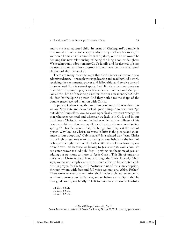and to *act* as an adopted child. In terms of Kierkegaard's parable, it may sound attractive to be legally adopted by the king but to stay in your own home at a distance from the palace, yet to do so would be denying this new relationship of being the king's son or daughter. We need not only adoption into God's family and forgiveness of sins; we need also to learn how to grow into our new identity as adopted children of the Triune God.

There are many concrete ways that God shapes us into our new adoptive identity—through worship, hearing and reading God's word, receiving the sacraments, prayer and fellowship, and service toward those in need. For the sake of space, I will limit my focus to two areas that Calvin expounds: prayer and the sacrament of the Lord's Supper. For Calvin, both of these help us enter into our new identity as God's children by the Spirit's power. And they both have the shape of the double grace received in union with Christ.

In prayer, Calvin says, the first thing one must do is realize that we are "destitute and devoid of all good things," so one must "go outside" of oneself to look to God. Specifically, we must "recognize that whatever we need and whatever we lack is in God, and in our Lord Jesus Christ, in whom the Father willed all the fullness of his bounty to abide so that we may all draw from it as from an overflowing spring."34 This focus on Christ, this hunger for him, is at the root of prayer. Why look to Christ? Because "Christ is the pledge and guarantee of our adoption," Calvin says.<sup>35</sup> In a related way, Jesus Christ is the high priest, one who is praying on our behalf in the holy of holies, at the right hand of the Father. We do not know how to pray on our own. Yet because we belong to Jesus Christ, God's Son, we can enter prayer as God's children—praying "in the name of Jesus," adding our petitions to those of Jesus Christ. This life of prayer in union with Christ is possible only through the Spirit. Indeed, Calvin says, we do not simply exercise our own effort to be adopted children in prayer, for the Spirit is "witness to us of the same adoption, through whom with free and full voice we may cry, 'Abba, Father.' Therefore whenever any hesitation shall hinder us, let us remember to ask him to correct our fearfulness, and set before us that Spirit that he may guide us to pray boldly."36 Left to ourselves, we would fearfully

34. *Inst.* 3.20.1. 35. *Inst*. 3.20.37. 36. *Inst.* 3.20.37.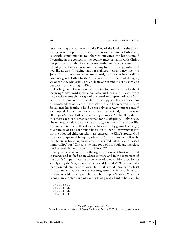resist pouring out our hearts to the King of the land. But the Spirit, the agent of adoption, enables us to do so, revealing a Father who is "gently summoning us to unburden our cares into his bosom."37 Occurring in the context of the double grace of union with Christ, our praying is in light of the indicative—that we *have been* united to Christ (as Paul says in Rom. 6), receiving free, justifying pardon and new life as gifts. Knowing that our righteousness and new life is in Jesus Christ, our consciences are calmed, and we can freely call on God as a gentle Father by the Spirit. And in the process of doing so, we obey God, who asks us to abide in Christ and to act as sons and daughters of the almighty King.

The language of adoption is also central for how Calvin talks about receiving God's word spoken, and also our focus here—God's word made visible through the signs of the bread and cup in the Lord's Supper. From his first sentence on the Lord's Supper in his key work, *The Institutes*, adoption is central for Calvin. "God has received us, once for all, into his family, to hold us not only as servants but as sons."38 As adopted children, we not only obey or serve God; we are first of all *recipients* of the Father's abundant generosity. "To fulfill the duties of a most excellent Father concerned for his offspring," Calvin says, "he undertakes also to nourish us throughout the course of our life. And not content with this alone, he has willed, by giving his pledge, to assure us of this continuing liberality."39 Out of extravagant love for the adopted children who have entered the King's house, God provides a "spiritual banquet, wherein Christ attests himself to be the life-giving bread, upon which our souls feed unto true and blessed immortality," for "Christ is the only food of our soul, and therefore our Heavenly Father invites us to Christ."40

Why is it crucial to rest in the righteousness of Christ our priest in prayer, and to feed upon Christ in word and in the sacrament of the Lord's Supper? Because to become adopted children, we do not simply copy the Son, asking "what would Jesus do?" We are actually incorporated into the Son's own life—that is what union with Christ is. In union with Christ, we receive forgiveness, which enables adoption and new life as adopted children, by the Spirit's power. You can't become an adopted child of God by trying really hard to be one—by

37. *Inst*. 3.20.5. 38. *Inst.* 4.17.1. 39. *Inst.* 4.17.1. 40. *Inst.* 4.17.1.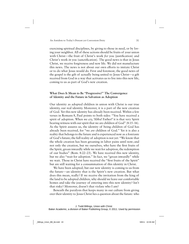exercising spiritual disciplines, by giving to those in need, or by loving your neighbor. All of these actions should be fruits of your union with Christ—the fruit of Christ's work *for* you (justification) and Christ's work *in* you (sanctification). The good news is that in Jesus Christ, we receive forgiveness and new life. We did not manufacture this news. The news is not about our own efforts to imitate Christ or to do what Jesus would do. First and foremost, the good news of the gospel is the gift of actually being united to Jesus Christ—a gift received from God in a way that activates us to live into this new life, coming to us as part of God's new creation.

### **What Does It Mean to Be "Progressive?" The Convergence of Identity and the Future in Salvation as Adoption**

Our identity as adopted children in union with Christ is our true identity, our real identity. Moreover, it is a part of the new creation of God. Yet this new identity has already been received. Within a few verses in Romans 8, Paul points to both sides: "You have received a spirit of adoption. When we cry, 'Abba! Father!' it is that very Spirit bearing witness with our spirit that we are children of God" (8:15–16). As the Spirit assures us, the identity of being children of God has already been received, for "we *are* children of God." Yet it is also a reality that belongs to the future and is experienced now as a foretaste of God's future; the full reality of adoption is not yet: "We know that the whole creation has been groaning in labor pains until now; and not only the creation, but we ourselves, who have the first fruits of the Spirit, groan inwardly while we wait for adoption, the redemption of our bodies" (Rom. 8:22–23). We have received this new identity, but we also "wait for adoption." In fact, we "groan inwardly" while we wait. Those in Christ have received the "first fruits of the Spirit" but are still waiting for a consummation of this identity in Christ.

We have been adopted, but our new identity is coming to us from the future—an identity that is the Spirit's new creation. But what does this mean, really? If we receive the invitation from the king of the land to be adopted children, why should we leave our comfortable homes and take the journey of entering into this new identity? Isn't that risky? Moreover, doesn't that violate who I am?

Beneath the paralysis that keeps many in our culture from giving over their identity to Jesus Christ lies a question about the future: who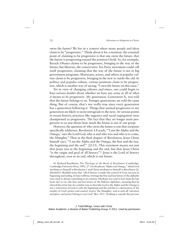owns the future? We live in a context where many people and ideas claim to be "progressive." Think about it for a moment: the essential point of claiming to be progressive is that one owns the future, that the future is progressing toward the position I hold. So, for example, Barack Obama claims to be progressive, bringing in the way of the future; but likewise, the conservative Tea Party movement could call itself progressive, claiming that the way of the future is not in big government programs. Musicians, actors, and others in popular culture claim to be progressive, bringing in the new to outdo the old. In politics and popular culture, various positions claim to be progressive, which is another way of saying, "I own the future on this issue."

Yet in view of changing cultures and times, one could begin to have serious doubts about whether we have any sense at all of what it means to be progressive. My generation, Generation X, was told that the future belongs to us. Younger generations are told the same thing. But of course, that's not really true since every generation has a generation following it. Things that seemed progressive to my generation are likely to seem retrograde to the next. At various points in recent history, practices like eugenics and racial segregation were championed as progressive. The fact that they no longer seem progressive to us just shows how much the future is out of our grasp.

However, the question of who owns the future is one that scripture specifically addresses. Revelation 1:8 reads, "'I am the Alpha and the Omega,' says the Lord God, who is and who was and who is to come, the Almighty." Then in the final chapter of Revelation, Jesus Christ himself says, "'I am the Alpha and the Omega, the first and the last, the beginning and the end'" (22:13). This statement means not just that Jesus was at the beginning and the end, but that Jesus Christ "is the origin and goal of all history."<sup>41</sup> Jesus is the Lord of history throughout, even to its end, which is our future.

41. Richard Bauckham, *The Theology of the Book of Revelation* (Cambridge: Cambridge University Press, 1993), 27. On the phrase "Alpha and Omega," which God attributes to himself in Revelation 1 and Christ attributes to himself in Revelation 22, Mitchell G. Reddish notes that "all of history is under the control of God, not just its beginning and ending. In later rabbinic writings the first and last letters of the alphabet were used to denote something in its entirety. Abraham was said to have kept the law from *alef* to *tav* (the first and last letters of the Hebrew alphabet), meaning that he obeyed the entire law. In a similar way, to describe God as the Alpha and the Omega is not a restriction of God to only the beginning and the end but is a declaration of the totality of God's power and control. God is 'the Almighty,' and as such all 'salvation and glory and power belong to our God' (Rev. 19:1). Nothing is outside the purview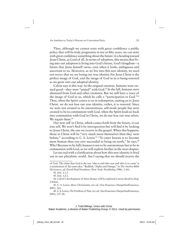Thus, although we cannot state with great confidence a public policy that will be truly progressive in ten or fifty years, we can state with great confidence something about the future: it is heading toward Jesus Christ, as Lord of all. In terms of adoption, this means that living into our adoption is living into God's future, God's kingdom—a future that Jesus himself owns, even when it looks ambiguous and uncertain to us. Moreover, as we live into this new identity, we need not worry that we are losing our true identity. For Jesus Christ is the perfect image of God, and the image of God in us is being restored as we grow into our adopted identity.

Calvin says it this way: In the original creation, humans were created good—they were "united" with God.42 In the fall, humans were alienated from God and other creatures. But we still have a trace of the image of God in us, which he calls a "participation in God."43 Thus, when the Spirit comes to us in redemption, uniting us to Jesus Christ, we do not lose our true identity; rather, it is restored. Since we were not created to be autonomous, self-made people but were created to be in communion with God, when the Spirit leads us back into communion with God in Christ, we do not lose our true selves. We regain them.<sup>44</sup>

Our new self in Christ, which comes forth from the future, is our true self. We won't find it by introspection but will find it by looking to Jesus Christ, the one we receive in the gospel. When this happens, those in Christ will be "very much more themselves than they were before," according to C. S. Lewis.<sup>45</sup> "To enter heaven is to become more human than you ever succeeded in being on earth," he says.<sup>46</sup> Why? Because to be fully human is not to be autonomous but to be in communion with God, as we will explore further in the next chapter.

Let me end with a clarification about how this new identity is lived out in our pluralistic world. Am I saying that we should receive the

of God. The claim that God is the one 'who is and who was and who is to come' is a restatement of the same idea." Reddish, "Alpha and Omega," in *The Anchor Bible Dictionary*, ed. David Noel Freedman (New York: Doubleday, 1996), 1:161.

<sup>42.</sup> *Inst*. 2.1.5.

<sup>43.</sup> *Inst.* 1.2.1.

<sup>44.</sup> Calvin's development of these themes will be explored in more detail in chap. 2 below.

<sup>45.</sup> C. S. Lewis, *Mere Christianity*, rev. ed. (San Francisco: HarperSanFrancisco, 2001), 161.

<sup>46.</sup> C.S. Lewis, *The Problem of Pain*, rev. ed. (San Francisco: HarperSanFrancisco, 2001), 127–28.